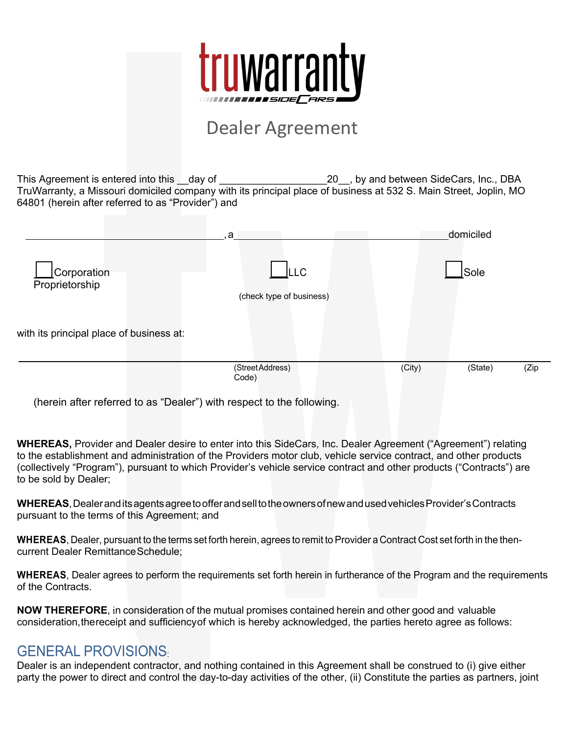

# Dealer Agreement

This Agreement is entered into this day of  $\qquad \qquad$  20, by and between SideCars, Inc., DBA TruWarranty, a Missouri domiciled company with its principal place of business at 532 S. Main Street, Joplin, MO 64801 (herein after referred to as "Provider") and

|                                          | a                                | domiciled                 |
|------------------------------------------|----------------------------------|---------------------------|
| Corporation<br>Proprietorship            | ILLC<br>(check type of business) | Sole                      |
| with its principal place of business at: |                                  |                           |
|                                          | (Street Address)<br>Code)        | (City)<br>(State)<br>(Zip |

(herein after referred to as "Dealer") with respect to the following.

**WHEREAS,** Provider and Dealer desire to enter into this SideCars, Inc. Dealer Agreement ("Agreement") relating to the establishment and administration of the Providers motor club, vehicle service contract, and other products (collectively "Program"), pursuant to which Provider's vehicle service contract and other products ("Contracts") are to be sold by Dealer;

**WHEREAS**, DealeranditsagentsagreetoofferandselltotheownersofnewandusedvehiclesProvider'sContracts pursuant to the terms of this Agreement; and

**WHEREAS**, Dealer, pursuant to the terms set forth herein, agrees to remit to Provider a Contract Cost set forth in the thencurrent Dealer Remittance Schedule;

**WHEREAS**, Dealer agrees to perform the requirements set forth herein in furtherance of the Program and the requirements of the Contracts.

**NOW THEREFORE**, in consideration of the mutual promises contained herein and other good and valuable consideration,thereceipt and sufficiencyof which is hereby acknowledged, the parties hereto agree as follows:

## GENERAL PROVISIONS:

Dealer is an independent contractor, and nothing contained in this Agreement shall be construed to (i) give either party the power to direct and control the day-to-day activities of the other, (ii) Constitute the parties as partners, joint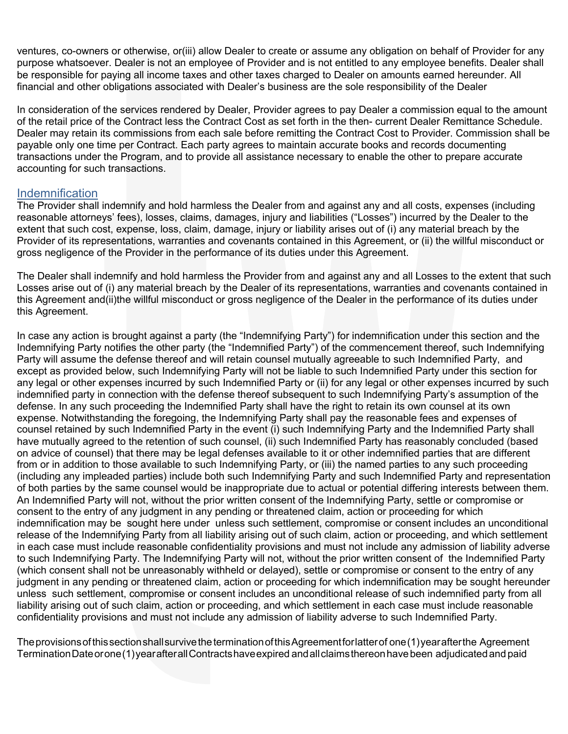ventures, co-owners or otherwise, or(iii) allow Dealer to create or assume any obligation on behalf of Provider for any purpose whatsoever. Dealer is not an employee of Provider and is not entitled to any employee benefits. Dealer shall be responsible for paying all income taxes and other taxes charged to Dealer on amounts earned hereunder. All financial and other obligations associated with Dealer's business are the sole responsibility of the Dealer

In consideration of the services rendered by Dealer, Provider agrees to pay Dealer a commission equal to the amount of the retail price of the Contract less the Contract Cost as set forth in the then- current Dealer Remittance Schedule. Dealer may retain its commissions from each sale before remitting the Contract Cost to Provider. Commission shall be payable only one time per Contract. Each party agrees to maintain accurate books and records documenting transactions under the Program, and to provide all assistance necessary to enable the other to prepare accurate accounting for such transactions.

#### Indemnification

The Provider shall indemnify and hold harmless the Dealer from and against any and all costs, expenses (including reasonable attorneys' fees), losses, claims, damages, injury and liabilities ("Losses") incurred by the Dealer to the extent that such cost, expense, loss, claim, damage, injury or liability arises out of (i) any material breach by the Provider of its representations, warranties and covenants contained in this Agreement, or (ii) the willful misconduct or gross negligence of the Provider in the performance of its duties under this Agreement.

The Dealer shall indemnify and hold harmless the Provider from and against any and all Losses to the extent that such Losses arise out of (i) any material breach by the Dealer of its representations, warranties and covenants contained in this Agreement and(ii)the willful misconduct or gross negligence of the Dealer in the performance of its duties under this Agreement.

In case any action is brought against a party (the "Indemnifying Party") for indemnification under this section and the Indemnifying Party notifies the other party (the "Indemnified Party") of the commencement thereof, such Indemnifying Party will assume the defense thereof and will retain counsel mutually agreeable to such Indemnified Party, and except as provided below, such Indemnifying Party will not be liable to such Indemnified Party under this section for any legal or other expenses incurred by such Indemnified Party or (ii) for any legal or other expenses incurred by such indemnified party in connection with the defense thereof subsequent to such Indemnifying Party's assumption of the defense. In any such proceeding the Indemnified Party shall have the right to retain its own counsel at its own expense. Notwithstanding the foregoing, the Indemnifying Party shall pay the reasonable fees and expenses of counsel retained by such Indemnified Party in the event (i) such Indemnifying Party and the Indemnified Party shall have mutually agreed to the retention of such counsel, (ii) such Indemnified Party has reasonably concluded (based on advice of counsel) that there may be legal defenses available to it or other indemnified parties that are different from or in addition to those available to such Indemnifying Party, or (iii) the named parties to any such proceeding (including any impleaded parties) include both such Indemnifying Party and such Indemnified Party and representation of both parties by the same counsel would be inappropriate due to actual or potential differing interests between them. An Indemnified Party will not, without the prior written consent of the Indemnifying Party, settle or compromise or consent to the entry of any judgment in any pending or threatened claim, action or proceeding for which indemnification may be sought here under unless such settlement, compromise or consent includes an unconditional release of the Indemnifying Party from all liability arising out of such claim, action or proceeding, and which settlement in each case must include reasonable confidentiality provisions and must not include any admission of liability adverse to such Indemnifying Party. The Indemnifying Party will not, without the prior written consent of the Indemnified Party (which consent shall not be unreasonably withheld or delayed), settle or compromise or consent to the entry of any judgment in any pending or threatened claim, action or proceeding for which indemnification may be sought hereunder unless such settlement, compromise or consent includes an unconditional release of such indemnified party from all liability arising out of such claim, action or proceeding, and which settlement in each case must include reasonable confidentiality provisions and must not include any admission of liability adverse to such Indemnified Party.

TheprovisionsofthissectionshallsurvivetheterminationofthisAgreementforlatterof one(1)yearafterthe Agreement TerminationDateorone(1)yearafterallContractshaveexpired andallclaimsthereonhavebeen adjudicatedand paid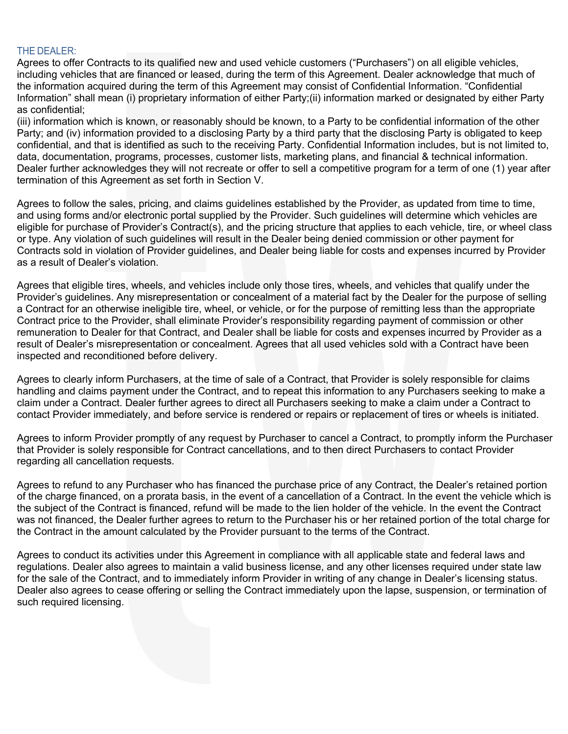#### THE DEALER:

Agrees to offer Contracts to its qualified new and used vehicle customers ("Purchasers") on all eligible vehicles, including vehicles that are financed or leased, during the term of this Agreement. Dealer acknowledge that much of the information acquired during the term of this Agreement may consist of Confidential Information. "Confidential Information" shall mean (i) proprietary information of either Party;(ii) information marked or designated by either Party as confidential;

(iii) information which is known, or reasonably should be known, to a Party to be confidential information of the other Party; and (iv) information provided to a disclosing Party by a third party that the disclosing Party is obligated to keep confidential, and that is identified as such to the receiving Party. Confidential Information includes, but is not limited to, data, documentation, programs, processes, customer lists, marketing plans, and financial & technical information. Dealer further acknowledges they will not recreate or offer to sell a competitive program for a term of one (1) year after termination of this Agreement as set forth in Section V.

Agrees to follow the sales, pricing, and claims guidelines established by the Provider, as updated from time to time, and using forms and/or electronic portal supplied by the Provider. Such guidelines will determine which vehicles are eligible for purchase of Provider's Contract(s), and the pricing structure that applies to each vehicle, tire, or wheel class or type. Any violation of such guidelines will result in the Dealer being denied commission or other payment for Contracts sold in violation of Provider guidelines, and Dealer being liable for costs and expenses incurred by Provider as a result of Dealer's violation.

Agrees that eligible tires, wheels, and vehicles include only those tires, wheels, and vehicles that qualify under the Provider's guidelines. Any misrepresentation or concealment of a material fact by the Dealer for the purpose of selling a Contract for an otherwise ineligible tire, wheel, or vehicle, or for the purpose of remitting less than the appropriate Contract price to the Provider, shall eliminate Provider's responsibility regarding payment of commission or other remuneration to Dealer for that Contract, and Dealer shall be liable for costs and expenses incurred by Provider as a result of Dealer's misrepresentation or concealment. Agrees that all used vehicles sold with a Contract have been inspected and reconditioned before delivery.

Agrees to clearly inform Purchasers, at the time of sale of a Contract, that Provider is solely responsible for claims handling and claims payment under the Contract, and to repeat this information to any Purchasers seeking to make a claim under a Contract. Dealer further agrees to direct all Purchasers seeking to make a claim under a Contract to contact Provider immediately, and before service is rendered or repairs or replacement of tires or wheels is initiated.

Agrees to inform Provider promptly of any request by Purchaser to cancel a Contract, to promptly inform the Purchaser that Provider is solely responsible for Contract cancellations, and to then direct Purchasers to contact Provider regarding all cancellation requests.

Agrees to refund to any Purchaser who has financed the purchase price of any Contract, the Dealer's retained portion of the charge financed, on a prorata basis, in the event of a cancellation of a Contract. In the event the vehicle which is the subject of the Contract is financed, refund will be made to the lien holder of the vehicle. In the event the Contract was not financed, the Dealer further agrees to return to the Purchaser his or her retained portion of the total charge for the Contract in the amount calculated by the Provider pursuant to the terms of the Contract.

Agrees to conduct its activities under this Agreement in compliance with all applicable state and federal laws and regulations. Dealer also agrees to maintain a valid business license, and any other licenses required under state law for the sale of the Contract, and to immediately inform Provider in writing of any change in Dealer's licensing status. Dealer also agrees to cease offering or selling the Contract immediately upon the lapse, suspension, or termination of such required licensing.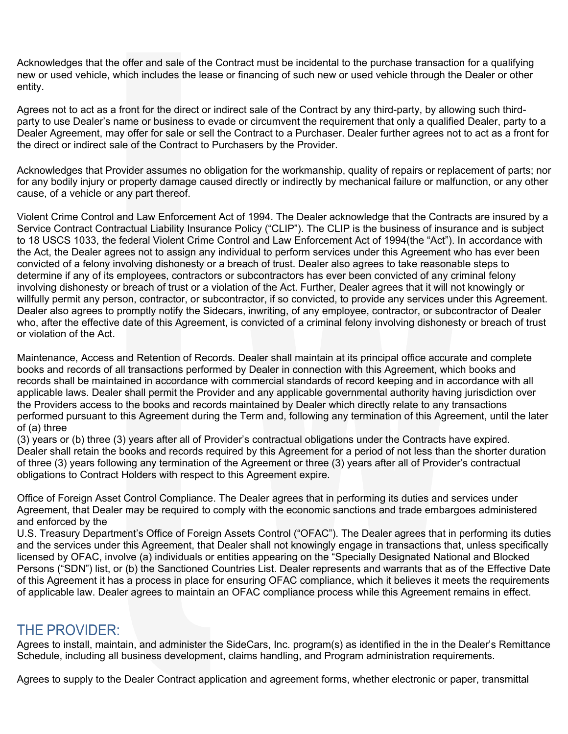Acknowledges that the offer and sale of the Contract must be incidental to the purchase transaction for a qualifying new or used vehicle, which includes the lease or financing of such new or used vehicle through the Dealer or other entity.

Agrees not to act as a front for the direct or indirect sale of the Contract by any third-party, by allowing such thirdparty to use Dealer's name or business to evade or circumvent the requirement that only a qualified Dealer, party to a Dealer Agreement, may offer for sale or sell the Contract to a Purchaser. Dealer further agrees not to act as a front for the direct or indirect sale of the Contract to Purchasers by the Provider.

Acknowledges that Provider assumes no obligation for the workmanship, quality of repairs or replacement of parts; nor for any bodily injury or property damage caused directly or indirectly by mechanical failure or malfunction, or any other cause, of a vehicle or any part thereof.

Violent Crime Control and Law Enforcement Act of 1994. The Dealer acknowledge that the Contracts are insured by a Service Contract Contractual Liability Insurance Policy ("CLIP"). The CLIP is the business of insurance and is subject to 18 USCS 1033, the federal Violent Crime Control and Law Enforcement Act of 1994(the "Act"). In accordance with the Act, the Dealer agrees not to assign any individual to perform services under this Agreement who has ever been convicted of a felony involving dishonesty or a breach of trust. Dealer also agrees to take reasonable steps to determine if any of its employees, contractors or subcontractors has ever been convicted of any criminal felony involving dishonesty or breach of trust or a violation of the Act. Further, Dealer agrees that it will not knowingly or willfully permit any person, contractor, or subcontractor, if so convicted, to provide any services under this Agreement. Dealer also agrees to promptly notify the Sidecars, inwriting, of any employee, contractor, or subcontractor of Dealer who, after the effective date of this Agreement, is convicted of a criminal felony involving dishonesty or breach of trust or violation of the Act.

Maintenance, Access and Retention of Records. Dealer shall maintain at its principal office accurate and complete books and records of all transactions performed by Dealer in connection with this Agreement, which books and records shall be maintained in accordance with commercial standards of record keeping and in accordance with all applicable laws. Dealer shall permit the Provider and any applicable governmental authority having jurisdiction over the Providers access to the books and records maintained by Dealer which directly relate to any transactions performed pursuant to this Agreement during the Term and, following any termination of this Agreement, until the later of (a) three

(3) years or (b) three (3) years after all of Provider's contractual obligations under the Contracts have expired. Dealer shall retain the books and records required by this Agreement for a period of not less than the shorter duration of three (3) years following any termination of the Agreement or three (3) years after all of Provider's contractual obligations to Contract Holders with respect to this Agreement expire.

Office of Foreign Asset Control Compliance. The Dealer agrees that in performing its duties and services under Agreement, that Dealer may be required to comply with the economic sanctions and trade embargoes administered and enforced by the

U.S. Treasury Department's Office of Foreign Assets Control ("OFAC"). The Dealer agrees that in performing its duties and the services under this Agreement, that Dealer shall not knowingly engage in transactions that, unless specifically licensed by OFAC, involve (a) individuals or entities appearing on the "Specially Designated National and Blocked Persons ("SDN") list, or (b) the Sanctioned Countries List. Dealer represents and warrants that as of the Effective Date of this Agreement it has a process in place for ensuring OFAC compliance, which it believes it meets the requirements of applicable law. Dealer agrees to maintain an OFAC compliance process while this Agreement remains in effect.

### THE PROVIDER:

Agrees to install, maintain, and administer the SideCars, Inc. program(s) as identified in the in the Dealer's Remittance Schedule, including all business development, claims handling, and Program administration requirements.

Agrees to supply to the Dealer Contract application and agreement forms, whether electronic or paper, transmittal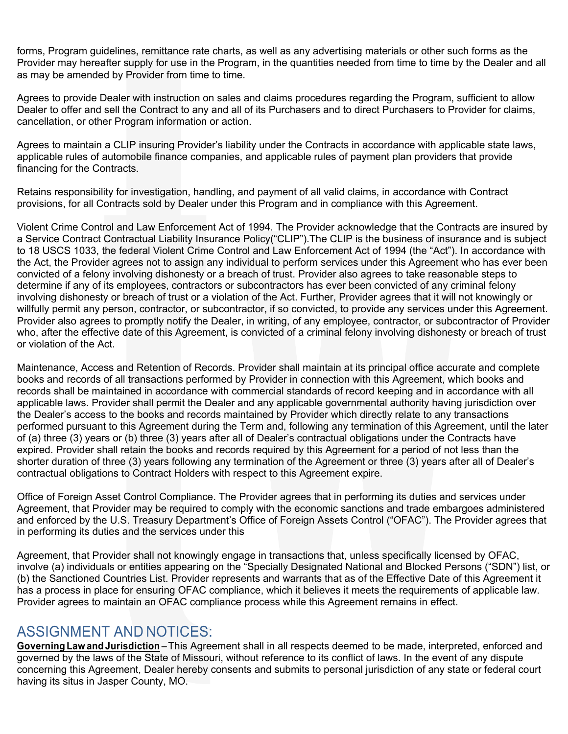forms, Program guidelines, remittance rate charts, as well as any advertising materials or other such forms as the Provider may hereafter supply for use in the Program, in the quantities needed from time to time by the Dealer and all as may be amended by Provider from time to time.

Agrees to provide Dealer with instruction on sales and claims procedures regarding the Program, sufficient to allow Dealer to offer and sell the Contract to any and all of its Purchasers and to direct Purchasers to Provider for claims, cancellation, or other Program information or action.

Agrees to maintain a CLIP insuring Provider's liability under the Contracts in accordance with applicable state laws, applicable rules of automobile finance companies, and applicable rules of payment plan providers that provide financing for the Contracts.

Retains responsibility for investigation, handling, and payment of all valid claims, in accordance with Contract provisions, for all Contracts sold by Dealer under this Program and in compliance with this Agreement.

Violent Crime Control and Law Enforcement Act of 1994. The Provider acknowledge that the Contracts are insured by a Service Contract Contractual Liability Insurance Policy("CLIP").The CLIP is the business of insurance and is subject to 18 USCS 1033, the federal Violent Crime Control and Law Enforcement Act of 1994 (the "Act"). In accordance with the Act, the Provider agrees not to assign any individual to perform services under this Agreement who has ever been convicted of a felony involving dishonesty or a breach of trust. Provider also agrees to take reasonable steps to determine if any of its employees, contractors or subcontractors has ever been convicted of any criminal felony involving dishonesty or breach of trust or a violation of the Act. Further, Provider agrees that it will not knowingly or willfully permit any person, contractor, or subcontractor, if so convicted, to provide any services under this Agreement. Provider also agrees to promptly notify the Dealer, in writing, of any employee, contractor, or subcontractor of Provider who, after the effective date of this Agreement, is convicted of a criminal felony involving dishonesty or breach of trust or violation of the Act.

Maintenance, Access and Retention of Records. Provider shall maintain at its principal office accurate and complete books and records of all transactions performed by Provider in connection with this Agreement, which books and records shall be maintained in accordance with commercial standards of record keeping and in accordance with all applicable laws. Provider shall permit the Dealer and any applicable governmental authority having jurisdiction over the Dealer's access to the books and records maintained by Provider which directly relate to any transactions performed pursuant to this Agreement during the Term and, following any termination of this Agreement, until the later of (a) three (3) years or (b) three (3) years after all of Dealer's contractual obligations under the Contracts have expired. Provider shall retain the books and records required by this Agreement for a period of not less than the shorter duration of three (3) years following any termination of the Agreement or three (3) years after all of Dealer's contractual obligations to Contract Holders with respect to this Agreement expire.

Office of Foreign Asset Control Compliance. The Provider agrees that in performing its duties and services under Agreement, that Provider may be required to comply with the economic sanctions and trade embargoes administered and enforced by the U.S. Treasury Department's Office of Foreign Assets Control ("OFAC"). The Provider agrees that in performing its duties and the services under this

Agreement, that Provider shall not knowingly engage in transactions that, unless specifically licensed by OFAC, involve (a) individuals or entities appearing on the "Specially Designated National and Blocked Persons ("SDN") list, or (b) the Sanctioned Countries List. Provider represents and warrants that as of the Effective Date of this Agreement it has a process in place for ensuring OFAC compliance, which it believes it meets the requirements of applicable law. Provider agrees to maintain an OFAC compliance process while this Agreement remains in effect.

### ASSIGNMENT AND NOTICES:

**Governing Law and Jurisdiction** – This Agreement shall in all respects deemed to be made, interpreted, enforced and governed by the laws of the State of Missouri, without reference to its conflict of laws. In the event of any dispute concerning this Agreement, Dealer hereby consents and submits to personal jurisdiction of any state or federal court having its situs in Jasper County, MO.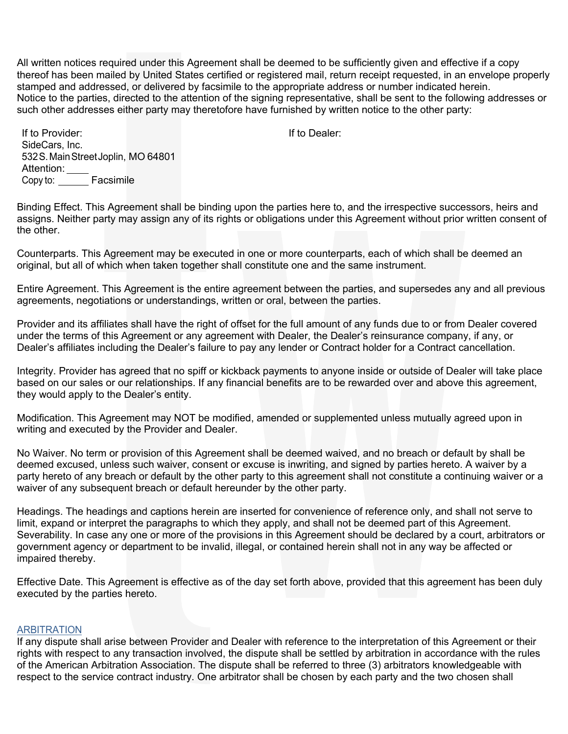All written notices required under this Agreement shall be deemed to be sufficiently given and effective if a copy thereof has been mailed by United States certified or registered mail, return receipt requested, in an envelope properly stamped and addressed, or delivered by facsimile to the appropriate address or number indicated herein. Notice to the parties, directed to the attention of the signing representative, shall be sent to the following addresses or such other addresses either party may theretofore have furnished by written notice to the other party:

If to Dealer:

If to Provider: SideCars, Inc. 532S.MainStreetJoplin, MO 64801 Attention: \_\_\_\_ Copy to: \_\_\_\_\_\_ Facsimile

Binding Effect. This Agreement shall be binding upon the parties here to, and the irrespective successors, heirs and assigns. Neither party may assign any of its rights or obligations under this Agreement without prior written consent of the other.

Counterparts. This Agreement may be executed in one or more counterparts, each of which shall be deemed an original, but all of which when taken together shall constitute one and the same instrument.

Entire Agreement. This Agreement is the entire agreement between the parties, and supersedes any and all previous agreements, negotiations or understandings, written or oral, between the parties.

Provider and its affiliates shall have the right of offset for the full amount of any funds due to or from Dealer covered under the terms of this Agreement or any agreement with Dealer, the Dealer's reinsurance company, if any, or Dealer's affiliates including the Dealer's failure to pay any lender or Contract holder for a Contract cancellation.

Integrity. Provider has agreed that no spiff or kickback payments to anyone inside or outside of Dealer will take place based on our sales or our relationships. If any financial benefits are to be rewarded over and above this agreement, they would apply to the Dealer's entity.

Modification. This Agreement may NOT be modified, amended or supplemented unless mutually agreed upon in writing and executed by the Provider and Dealer.

No Waiver. No term or provision of this Agreement shall be deemed waived, and no breach or default by shall be deemed excused, unless such waiver, consent or excuse is inwriting, and signed by parties hereto. A waiver by a party hereto of any breach or default by the other party to this agreement shall not constitute a continuing waiver or a waiver of any subsequent breach or default hereunder by the other party.

Headings. The headings and captions herein are inserted for convenience of reference only, and shall not serve to limit, expand or interpret the paragraphs to which they apply, and shall not be deemed part of this Agreement. Severability. In case any one or more of the provisions in this Agreement should be declared by a court, arbitrators or government agency or department to be invalid, illegal, or contained herein shall not in any way be affected or impaired thereby.

Effective Date. This Agreement is effective as of the day set forth above, provided that this agreement has been duly executed by the parties hereto.

#### ARBITRATION

If any dispute shall arise between Provider and Dealer with reference to the interpretation of this Agreement or their rights with respect to any transaction involved, the dispute shall be settled by arbitration in accordance with the rules of the American Arbitration Association. The dispute shall be referred to three (3) arbitrators knowledgeable with respect to the service contract industry. One arbitrator shall be chosen by each party and the two chosen shall